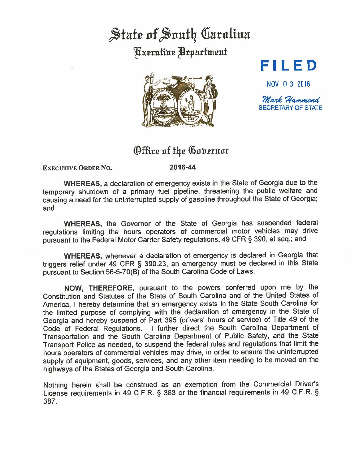## State of South Carolina **Kxecutive Bepartment**



## **Fl LED**

NOV O 3 2016

 $\mathcal{\mathcal{M}}$ ark  $\mathcal{\mathcal{H}}$ ammond SECRETARY OF STATE

## Office of the Governor

**EXECUTIVE ORDER No.** 

**2016-44** 

**WHEREAS,** a declaration of emergency exists in the State of Georgia due to the temporary shutdown of a primary fuel pipeline, threatening the public welfare and causing a need for the uninterrupted supply of gasoline throughout the State of Georgia; and

**WHEREAS,** the Governor of the State of Georgia has suspended federal regulations limiting the hours operators of commercial motor vehicles may drive pursuant to the Federal Motor Carrier Safety regulations, 49 CFR § 390, et seq.; and

**WHEREAS,** whenever a declaration of emergency is declared in Georgia that triggers relief under 49 CFR § 390.23, an emergency must be declared in this State pursuant to Section 56-5-70(9) of the South Carolina Code of Laws.

**NOW,** THEREFORE, pursuant to the powers conferred upon me by the Constitution and Statutes of the State of South Carolina and of the United States of America, I hereby determine that an emergency exists in the State South Carolina for the limited purpose of complying with the declaration of emergency in the State of Georgia and hereby suspend of Part 395 (drivers' hours of service) of Title 49 of the Code of Federal Regulations. I further direct the South Carolina Department of Transportation and the South Carolina Department of Public Safety, and the State Transport Police as needed, to suspend the federal rules and regulations that limit the hours operators of commercial vehicles may drive, in order to ensure the uninterrupted supply of equipment, goods, services, and any other item needing to be moved on the highways of the States of Georgia and South Carolina.

Nothing herein shall be construed as an exemption from the Commercial Driver's License requirements in 49 C.F.R. § 383 or the financial requirements in 49 C.F.R. § 387.